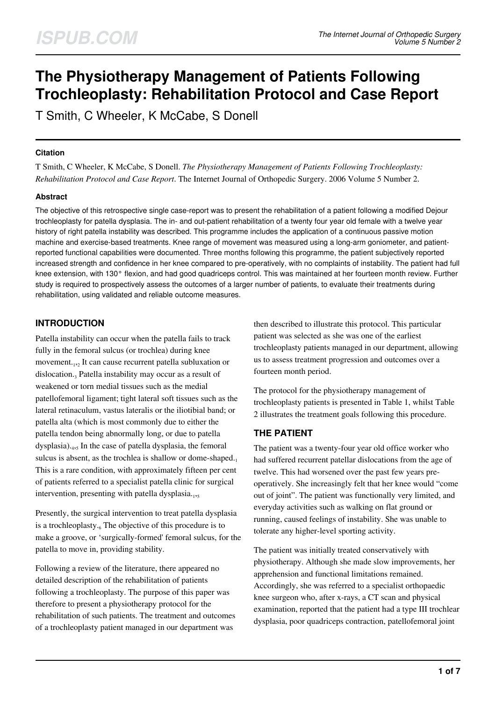# **The Physiotherapy Management of Patients Following Trochleoplasty: Rehabilitation Protocol and Case Report**

T Smith, C Wheeler, K McCabe, S Donell

# **Citation**

T Smith, C Wheeler, K McCabe, S Donell. *The Physiotherapy Management of Patients Following Trochleoplasty: Rehabilitation Protocol and Case Report*. The Internet Journal of Orthopedic Surgery. 2006 Volume 5 Number 2.

# **Abstract**

The objective of this retrospective single case-report was to present the rehabilitation of a patient following a modified Dejour trochleoplasty for patella dysplasia. The in- and out-patient rehabilitation of a twenty four year old female with a twelve year history of right patella instability was described. This programme includes the application of a continuous passive motion machine and exercise-based treatments. Knee range of movement was measured using a long-arm goniometer, and patientreported functional capabilities were documented. Three months following this programme, the patient subjectively reported increased strength and confidence in her knee compared to pre-operatively, with no complaints of instability. The patient had full knee extension, with 130° flexion, and had good quadriceps control. This was maintained at her fourteen month review. Further study is required to prospectively assess the outcomes of a larger number of patients, to evaluate their treatments during rehabilitation, using validated and reliable outcome measures.

# **INTRODUCTION**

Patella instability can occur when the patella fails to track fully in the femoral sulcus (or trochlea) during knee movement.<sub>1,2</sub> It can cause recurrent patella subluxation or dislocation.<sub>3</sub> Patella instability may occur as a result of weakened or torn medial tissues such as the medial patellofemoral ligament; tight lateral soft tissues such as the lateral retinaculum, vastus lateralis or the iliotibial band; or patella alta (which is most commonly due to either the patella tendon being abnormally long, or due to patella dysplasia).<sup>4</sup> ,5 In the case of patella dysplasia, the femoral sulcus is absent, as the trochlea is shallow or dome-shaped. $_1$ This is a rare condition, with approximately fifteen per cent of patients referred to a specialist patella clinic for surgical intervention, presenting with patella dysplasia.1,5

Presently, the surgical intervention to treat patella dysplasia is a trochleoplasty.<sub>6</sub> The objective of this procedure is to make a groove, or 'surgically-formed' femoral sulcus, for the patella to move in, providing stability.

Following a review of the literature, there appeared no detailed description of the rehabilitation of patients following a trochleoplasty. The purpose of this paper was therefore to present a physiotherapy protocol for the rehabilitation of such patients. The treatment and outcomes of a trochleoplasty patient managed in our department was

then described to illustrate this protocol. This particular patient was selected as she was one of the earliest trochleoplasty patients managed in our department, allowing us to assess treatment progression and outcomes over a fourteen month period.

The protocol for the physiotherapy management of trochleoplasty patients is presented in Table 1, whilst Table 2 illustrates the treatment goals following this procedure.

# **THE PATIENT**

The patient was a twenty-four year old office worker who had suffered recurrent patellar dislocations from the age of twelve. This had worsened over the past few years preoperatively. She increasingly felt that her knee would "come out of joint". The patient was functionally very limited, and everyday activities such as walking on flat ground or running, caused feelings of instability. She was unable to tolerate any higher-level sporting activity.

The patient was initially treated conservatively with physiotherapy. Although she made slow improvements, her apprehension and functional limitations remained. Accordingly, she was referred to a specialist orthopaedic knee surgeon who, after x-rays, a CT scan and physical examination, reported that the patient had a type III trochlear dysplasia, poor quadriceps contraction, patellofemoral joint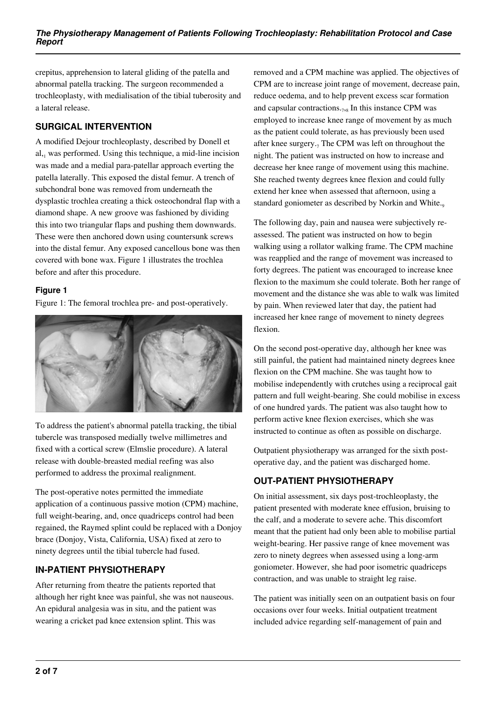crepitus, apprehension to lateral gliding of the patella and abnormal patella tracking. The surgeon recommended a trochleoplasty, with medialisation of the tibial tuberosity and a lateral release.

# **SURGICAL INTERVENTION**

A modified Dejour trochleoplasty, described by Donell et al, was performed. Using this technique, a mid-line incision was made and a medial para-patellar approach everting the patella laterally. This exposed the distal femur. A trench of subchondral bone was removed from underneath the dysplastic trochlea creating a thick osteochondral flap with a diamond shape. A new groove was fashioned by dividing this into two triangular flaps and pushing them downwards. These were then anchored down using countersunk screws into the distal femur. Any exposed cancellous bone was then covered with bone wax. Figure 1 illustrates the trochlea before and after this procedure.

# **Figure 1**

Figure 1: The femoral trochlea pre- and post-operatively.



To address the patient's abnormal patella tracking, the tibial tubercle was transposed medially twelve millimetres and fixed with a cortical screw (Elmslie procedure). A lateral release with double-breasted medial reefing was also performed to address the proximal realignment.

The post-operative notes permitted the immediate application of a continuous passive motion (CPM) machine, full weight-bearing, and, once quadriceps control had been regained, the Raymed splint could be replaced with a Donjoy brace (Donjoy, Vista, California, USA) fixed at zero to ninety degrees until the tibial tubercle had fused.

# **IN-PATIENT PHYSIOTHERAPY**

After returning from theatre the patients reported that although her right knee was painful, she was not nauseous. An epidural analgesia was in situ, and the patient was wearing a cricket pad knee extension splint. This was

removed and a CPM machine was applied. The objectives of CPM are to increase joint range of movement, decrease pain, reduce oedema, and to help prevent excess scar formation and capsular contractions. $_{7,8}$  In this instance CPM was employed to increase knee range of movement by as much as the patient could tolerate, as has previously been used after knee surgery.<sub>7</sub> The CPM was left on throughout the night. The patient was instructed on how to increase and decrease her knee range of movement using this machine. She reached twenty degrees knee flexion and could fully extend her knee when assessed that afternoon, using a standard goniometer as described by Norkin and White.<sub>9</sub>

The following day, pain and nausea were subjectively reassessed. The patient was instructed on how to begin walking using a rollator walking frame. The CPM machine was reapplied and the range of movement was increased to forty degrees. The patient was encouraged to increase knee flexion to the maximum she could tolerate. Both her range of movement and the distance she was able to walk was limited by pain. When reviewed later that day, the patient had increased her knee range of movement to ninety degrees flexion.

On the second post-operative day, although her knee was still painful, the patient had maintained ninety degrees knee flexion on the CPM machine. She was taught how to mobilise independently with crutches using a reciprocal gait pattern and full weight-bearing. She could mobilise in excess of one hundred yards. The patient was also taught how to perform active knee flexion exercises, which she was instructed to continue as often as possible on discharge.

Outpatient physiotherapy was arranged for the sixth postoperative day, and the patient was discharged home.

# **OUT-PATIENT PHYSIOTHERAPY**

On initial assessment, six days post-trochleoplasty, the patient presented with moderate knee effusion, bruising to the calf, and a moderate to severe ache. This discomfort meant that the patient had only been able to mobilise partial weight-bearing. Her passive range of knee movement was zero to ninety degrees when assessed using a long-arm goniometer. However, she had poor isometric quadriceps contraction, and was unable to straight leg raise.

The patient was initially seen on an outpatient basis on four occasions over four weeks. Initial outpatient treatment included advice regarding self-management of pain and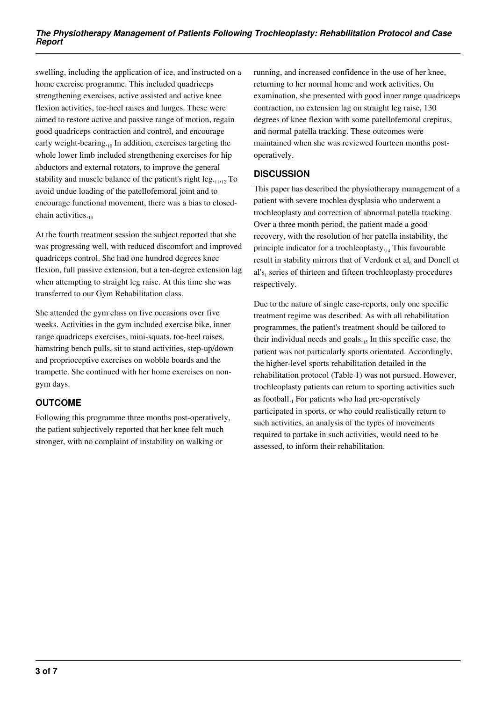swelling, including the application of ice, and instructed on a home exercise programme. This included quadriceps strengthening exercises, active assisted and active knee flexion activities, toe-heel raises and lunges. These were aimed to restore active and passive range of motion, regain good quadriceps contraction and control, and encourage early weight-bearing.<sub>10</sub> In addition, exercises targeting the whole lower limb included strengthening exercises for hip abductors and external rotators, to improve the general stability and muscle balance of the patient's right  $leg_{11,12}$  To avoid undue loading of the patellofemoral joint and to encourage functional movement, there was a bias to closedchain activities.

At the fourth treatment session the subject reported that she was progressing well, with reduced discomfort and improved quadriceps control. She had one hundred degrees knee flexion, full passive extension, but a ten-degree extension lag when attempting to straight leg raise. At this time she was transferred to our Gym Rehabilitation class.

She attended the gym class on five occasions over five weeks. Activities in the gym included exercise bike, inner range quadriceps exercises, mini-squats, toe-heel raises, hamstring bench pulls, sit to stand activities, step-up/down and proprioceptive exercises on wobble boards and the trampette. She continued with her home exercises on nongym days.

# **OUTCOME**

Following this programme three months post-operatively, the patient subjectively reported that her knee felt much stronger, with no complaint of instability on walking or

running, and increased confidence in the use of her knee, returning to her normal home and work activities. On examination, she presented with good inner range quadriceps contraction, no extension lag on straight leg raise, 130 degrees of knee flexion with some patellofemoral crepitus, and normal patella tracking. These outcomes were maintained when she was reviewed fourteen months postoperatively.

# **DISCUSSION**

This paper has described the physiotherapy management of a patient with severe trochlea dysplasia who underwent a trochleoplasty and correction of abnormal patella tracking. Over a three month period, the patient made a good recovery, with the resolution of her patella instability, the principle indicator for a trochleoplasty. $_{14}$  This favourable result in stability mirrors that of Verdonk et  $al<sub>6</sub>$  and Donell et al's<sub>1</sub> series of thirteen and fifteen trochleoplasty procedures respectively.

Due to the nature of single case-reports, only one specific treatment regime was described. As with all rehabilitation programmes, the patient's treatment should be tailored to their individual needs and goals. $_{15}$  In this specific case, the patient was not particularly sports orientated. Accordingly, the higher-level sports rehabilitation detailed in the rehabilitation protocol (Table 1) was not pursued. However, trochleoplasty patients can return to sporting activities such as football.<sub>1</sub> For patients who had pre-operatively participated in sports, or who could realistically return to such activities, an analysis of the types of movements required to partake in such activities, would need to be assessed, to inform their rehabilitation.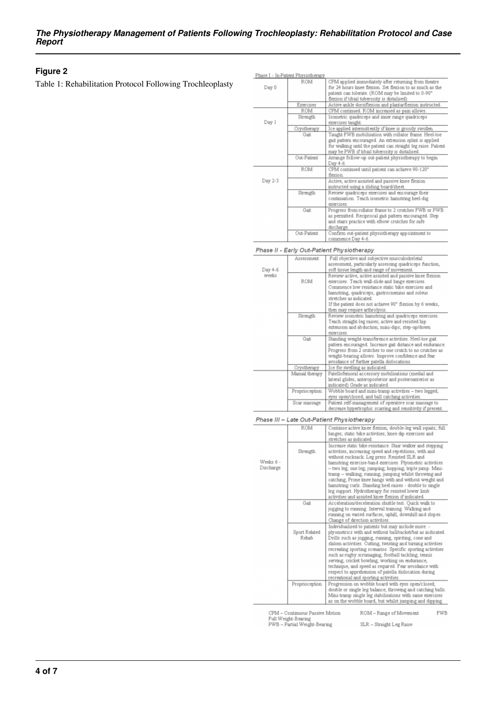### **Figure 2**

Table 1: Rehabilitation Protocol Following Trochleoplasty

|         | Phase I - In-Patient Physiotherapy |                                                                                                                                                                                                                                     |
|---------|------------------------------------|-------------------------------------------------------------------------------------------------------------------------------------------------------------------------------------------------------------------------------------|
| Day 0   | ROM                                | CPM applied immediately after returning from theatre<br>for 24 hours knee flexion. Set flexion to as much as the<br>patient can tolerate. (ROM may be limited to 0-90°<br>flexion if tibial tuberosity is distalised)               |
|         | Exercises                          | Active ankle dorsiflexion and plantarflexion instructed.                                                                                                                                                                            |
| Day 1   | ROM                                | CPM continued. ROM increased as pain allows.                                                                                                                                                                                        |
|         | Strength                           | Isometric quadriceps and inner range quadriceps<br>exercises taught.                                                                                                                                                                |
|         | Cryotherapy                        | Ice applied intermittently if knee is grossly swollen.                                                                                                                                                                              |
|         | Gait                               | Taught FWB mobilisation with rollator frame. Heel-toe<br>gait pattern encouraged. An extension splint is applied<br>for walking until the patient can straight leg raise. Patient<br>may be PWB if tibial tuberosity is distalised. |
|         | Out-Patient                        | Arrange follow-up out-patient physiotherapy to begin<br>Day 4-6.                                                                                                                                                                    |
| Day 2-3 | ROM                                | CPM continued until patient can achieve 90-120°<br>flexion.                                                                                                                                                                         |
|         |                                    | Active, active assisted and passive knee flexion<br>instructed using a sliding board/sheet.                                                                                                                                         |
|         | Strength                           | Review quadriceps exercises and encourage their<br>continuation. Teach isometric hamstring heel-dig<br>exercises.                                                                                                                   |
|         | Gait                               | Progress from rollator frame to 2 crutches FWB or PWB<br>as permitted. Reciprocal gait pattern encouraged. Step<br>and stairs practice with elbow crutches for safe<br>discharge.                                                   |
|         | Out-Patient                        | Confirm out-patient physiotherapy appointment to<br>commence Day 4-6.                                                                                                                                                               |

#### Phase II - Early Out-Patient Physiotherapy

| Day 4-6<br>weeks | Assessment     | Full objective and subjective musculoskeletal<br>assessment, particularly assessing quadriceps function,<br>soft tissue length and range of movement.                                                                                                                                                                                      |
|------------------|----------------|--------------------------------------------------------------------------------------------------------------------------------------------------------------------------------------------------------------------------------------------------------------------------------------------------------------------------------------------|
|                  | ROM            | Review active, active assisted and passive knee flexion<br>exercises. Teach wall-slide and lunge exercises.<br>Commence low resistance static bike exercises and<br>hamstring, quadriceps, gastrocnemius and soleus<br>stretches as indicated.<br>If the patient does not achieve 90° flexion by 6 weeks.<br>then may require arthrolysis. |
|                  | Strength       | Review isometric hamstring and quadriceps exercises.<br>Teach straight-leg raises; active and resisted hip<br>extension and abduction; mini-dips; step-up/down<br>exercises                                                                                                                                                                |
|                  | Gait           | Standing weight-transference activities. Heel-toe gait<br>pattern encouraged. Increase gait distance and endurance.<br>Progress from 2 crutches to one crutch to no crutches as<br>weight-bearing allows. Improve confidence and fear<br>avoidance of further patella dislocations.                                                        |
|                  | Cryotherapy    | Ice for swelling as indicated.                                                                                                                                                                                                                                                                                                             |
|                  | Manual therapy | Patellofemoral accessory mobilisations (medial and<br>lateral glides, anteroposterior and posteroanterior as<br>indicated) Grade as indicated.                                                                                                                                                                                             |
|                  | Proprioception | Wobble board and mini-tramp activities - two legged,<br>eyes open/closed; and ball catching activities.                                                                                                                                                                                                                                    |
|                  | Scar massage   | Patient self-management of operative scar massage to<br>decrease hunertraphic scarring and sensitivity if present                                                                                                                                                                                                                          |

#### Phase III - Late Out-Patient Physiotherapy

| Weeks 6 -<br>Discharge | ROM                    | Continue active knee flexion; double-leg wall squats; full<br>lunges; static bike activities; knee dip exercises and<br>stretches as indicated                                                                                                                                                                                                                                                                                                                                                                                                                                          |
|------------------------|------------------------|-----------------------------------------------------------------------------------------------------------------------------------------------------------------------------------------------------------------------------------------------------------------------------------------------------------------------------------------------------------------------------------------------------------------------------------------------------------------------------------------------------------------------------------------------------------------------------------------|
|                        | Strength               | Increase static bike resistance. Stair walker and stepping<br>activities, increasing speed and repetitions, with and<br>without rucksack. Leg press. Resisted SLR and<br>hamstring exercise-band exercises. Plyometric activities<br>- two leg; one leg; jumping; hopping; triple jump. Mini-<br>tramp – walking; running; jumping whilst throwing and<br>catching; Prone knee hangs with and without weight and<br>hamstring curls. Standing heel raises - double to single<br>leg support. Hydrotherapy for resisted lower limb<br>activities and assisted knee flexion if indicated. |
|                        | Gait                   | Acceleration/deceleration shuttle test. Ouick walk to<br>jogging to running. Interval training. Walking and<br>running on varied surfaces, uphill, downhill and slopes.<br>Change of direction activities.                                                                                                                                                                                                                                                                                                                                                                              |
|                        | Sport Related<br>Rehab | Individualised to patients but may include more: -<br>ply ometrics with and without ball/racket/bat as indicated.<br>Drills such as jogging, running, spiriting, cone and<br>slalom activities. Cutting, twisting and turning activities<br>recreating sporting scenarios. Specific sporting activities<br>such as rugby scrumaging, football tackling; tennis<br>serving; cricket bowling; working on endurance,<br>technique, and speed as required. Fear avoidance with<br>respect to apprehension of patella dislocation during<br>recreational and sporting activities.            |
|                        | Proprioception         | Progression on wobble board with eyes open/closed;<br>double or single leg balance; throwing and catching balls.<br>Mini-tramp single leg stabilisations with same exercises<br>as on the wobble board, but whilst jumping and dipping.                                                                                                                                                                                                                                                                                                                                                 |

CPM – Continuous Passive Motion<br>Full Weight-Bearing<br>PWB – Partial Weight-Bearing ROM - Range of Movement FWB

SLR - Straight Leg Raise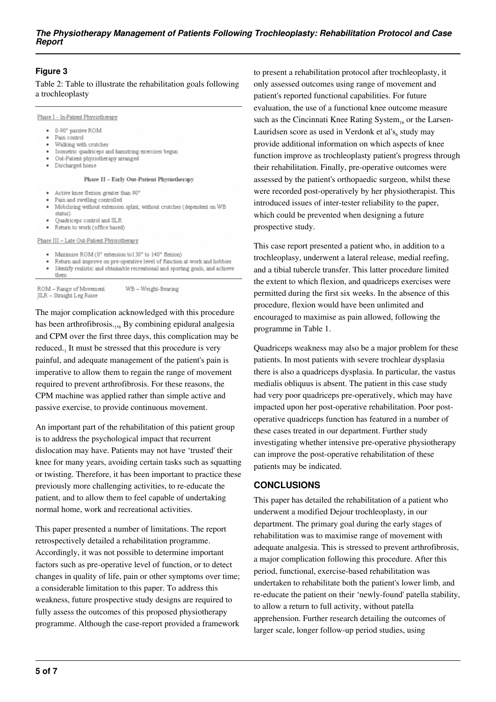# **Figure 3**

Table 2: Table to illustrate the rehabilitation goals following a trochleoplasty

Phase I - In-Patient Physiotherapy

- · 0-90° passive ROM
- Pain control
- Walking with crutches  $\bullet$
- · Isometric quadriceps and hamstring exercises begun Out-Patient physiotherapy arranged
- · Discharged home
- 

#### Phase II - Early Out-Patient Physiotherapy

- Active knee flexion greater than 90°
- Pain and swelling controlled Mobilising without extension splint, without crutches (dependent on WB  $\bullet$ status)
- Quadriceps control and SLR
- Return to work (office based)

Phase III - Late Out-Patient Physiotherapy

- Maximise ROM (0° extension to130° to 140° flexion)
- Return and improve on pre-operative level of function at work and hobbies
- Identify realistic and obtainable recreational and sporting goals, and achieve  $\ddot{\phantom{0}}$ them

ROM - Range of Movement WB-Weight-Bearing SLR - Straight Leg Raise

The major complication acknowledged with this procedure has been arthrofibrosis.<sub>1,6</sub> By combining epidural analgesia and CPM over the first three days, this complication may be reduced.<sub>1</sub> It must be stressed that this procedure is very painful, and adequate management of the patient's pain is imperative to allow them to regain the range of movement required to prevent arthrofibrosis. For these reasons, the CPM machine was applied rather than simple active and passive exercise, to provide continuous movement.

An important part of the rehabilitation of this patient group is to address the psychological impact that recurrent dislocation may have. Patients may not have 'trusted' their knee for many years, avoiding certain tasks such as squatting or twisting. Therefore, it has been important to practice these previously more challenging activities, to re-educate the patient, and to allow them to feel capable of undertaking normal home, work and recreational activities.

This paper presented a number of limitations. The report retrospectively detailed a rehabilitation programme. Accordingly, it was not possible to determine important factors such as pre-operative level of function, or to detect changes in quality of life, pain or other symptoms over time; a considerable limitation to this paper. To address this weakness, future prospective study designs are required to fully assess the outcomes of this proposed physiotherapy programme. Although the case-report provided a framework

to present a rehabilitation protocol after trochleoplasty, it only assessed outcomes using range of movement and patient's reported functional capabilities. For future evaluation, the use of a functional knee outcome measure such as the Cincinnati Knee Rating System<sub>16</sub> or the Larsen-Lauridsen score as used in Verdonk et al's $_6$  study may provide additional information on which aspects of knee function improve as trochleoplasty patient's progress through their rehabilitation. Finally, pre-operative outcomes were assessed by the patient's orthopaedic surgeon, whilst these were recorded post-operatively by her physiotherapist. This introduced issues of inter-tester reliability to the paper, which could be prevented when designing a future prospective study.

This case report presented a patient who, in addition to a trochleoplasy, underwent a lateral release, medial reefing, and a tibial tubercle transfer. This latter procedure limited the extent to which flexion, and quadriceps exercises were permitted during the first six weeks. In the absence of this procedure, flexion would have been unlimited and encouraged to maximise as pain allowed, following the programme in Table 1.

Quadriceps weakness may also be a major problem for these patients. In most patients with severe trochlear dysplasia there is also a quadriceps dysplasia. In particular, the vastus medialis obliquus is absent. The patient in this case study had very poor quadriceps pre-operatively, which may have impacted upon her post-operative rehabilitation. Poor postoperative quadriceps function has featured in a number of these cases treated in our department. Further study investigating whether intensive pre-operative physiotherapy can improve the post-operative rehabilitation of these patients may be indicated.

### **CONCLUSIONS**

This paper has detailed the rehabilitation of a patient who underwent a modified Dejour trochleoplasty, in our department. The primary goal during the early stages of rehabilitation was to maximise range of movement with adequate analgesia. This is stressed to prevent arthrofibrosis, a major complication following this procedure. After this period, functional, exercise-based rehabilitation was undertaken to rehabilitate both the patient's lower limb, and re-educate the patient on their 'newly-found' patella stability, to allow a return to full activity, without patella apprehension. Further research detailing the outcomes of larger scale, longer follow-up period studies, using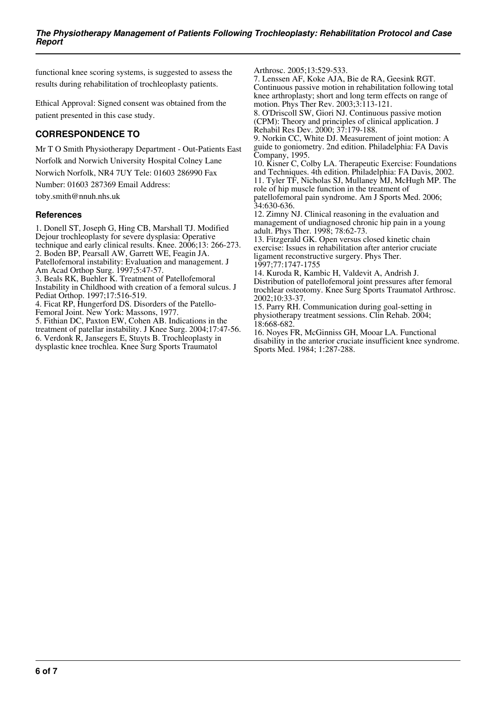functional knee scoring systems, is suggested to assess the results during rehabilitation of trochleoplasty patients.

Ethical Approval: Signed consent was obtained from the patient presented in this case study.

# **CORRESPONDENCE TO**

Mr T O Smith Physiotherapy Department - Out-Patients East Norfolk and Norwich University Hospital Colney Lane Norwich Norfolk, NR4 7UY Tele: 01603 286990 Fax

Number: 01603 287369 Email Address:

toby.smith@nnuh.nhs.uk

# **References**

1. Donell ST, Joseph G, Hing CB, Marshall TJ. Modified Dejour trochleoplasty for severe dysplasia: Operative technique and early clinical results. Knee. 2006;13: 266-273. 2. Boden BP, Pearsall AW, Garrett WE, Feagin JA. Patellofemoral instability: Evaluation and management. J Am Acad Orthop Surg. 1997;5:47-57. 3. Beals RK, Buehler K. Treatment of Patellofemoral Instability in Childhood with creation of a femoral sulcus. J Pediat Orthop. 1997;17:516-519. 4. Ficat RP, Hungerford DS. Disorders of the Patello-Femoral Joint. New York: Massons, 1977. 5. Fithian DC, Paxton EW, Cohen AB. Indications in the treatment of patellar instability. J Knee Surg. 2004;17:47-56. 6. Verdonk R, Jansegers E, Stuyts B. Trochleoplasty in

dysplastic knee trochlea. Knee Surg Sports Traumatol

Arthrosc. 2005;13:529-533.

7. Lenssen AF, Koke AJA, Bie de RA, Geesink RGT. Continuous passive motion in rehabilitation following total knee arthroplasty; short and long term effects on range of motion. Phys Ther Rev. 2003;3:113-121.

8. O'Driscoll SW, Giori NJ. Continuous passive motion (CPM): Theory and principles of clinical application. J Rehabil Res Dev. 2000; 37:179-188.

9. Norkin CC, White DJ. Measurement of joint motion: A guide to goniometry. 2nd edition. Philadelphia: FA Davis Company, 1995.

10. Kisner C, Colby LA. Therapeutic Exercise: Foundations and Techniques. 4th edition. Philadelphia: FA Davis, 2002. 11. Tyler TF, Nicholas SJ, Mullaney MJ, McHugh MP. The role of hip muscle function in the treatment of patellofemoral pain syndrome. Am J Sports Med. 2006; 34:630-636.

12. Zimny NJ. Clinical reasoning in the evaluation and management of undiagnosed chronic hip pain in a young adult. Phys Ther. 1998; 78:62-73.

13. Fitzgerald GK. Open versus closed kinetic chain exercise: Issues in rehabilitation after anterior cruciate ligament reconstructive surgery. Phys Ther. 1997;77:1747-1755

14. Kuroda R, Kambic H, Valdevit A, Andrish J. Distribution of patellofemoral joint pressures after femoral trochlear osteotomy. Knee Surg Sports Traumatol Arthrosc. 2002;10:33-37.

15. Parry RH. Communication during goal-setting in physiotherapy treatment sessions. Clin Rehab. 2004; 18:668-682.

16. Noyes FR, McGinniss GH, Mooar LA. Functional disability in the anterior cruciate insufficient knee syndrome. Sports Med. 1984; 1:287-288.